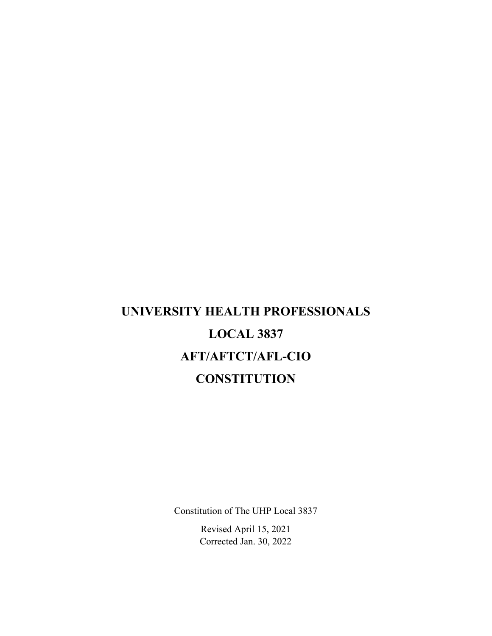# **UNIVERSITY HEALTH PROFESSIONALS LOCAL 3837 AFT/AFTCT/AFL-CIO CONSTITUTION**

Constitution of The UHP Local 3837

Revised April 15, 2021 Corrected Jan. 30, 2022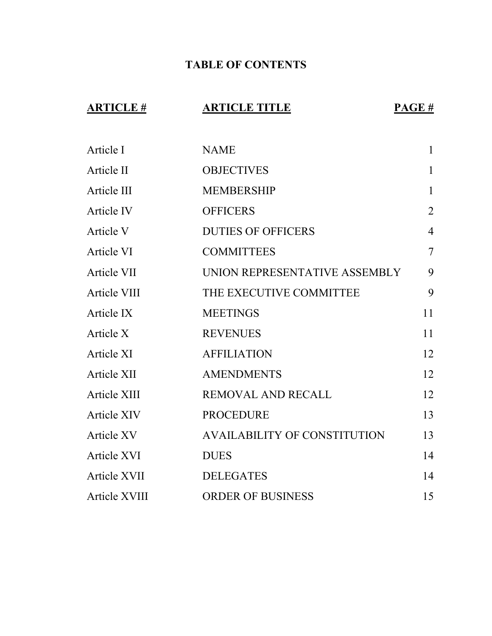### **TABLE OF CONTENTS**

## **ARTICLE # ARTICLE TITLE PAGE #**

| Article I         | <b>NAME</b>                         | $\mathbf{1}$   |
|-------------------|-------------------------------------|----------------|
| Article II        | <b>OBJECTIVES</b>                   | $\mathbf{1}$   |
| Article III       | <b>MEMBERSHIP</b>                   | $\mathbf{1}$   |
| Article IV        | <b>OFFICERS</b>                     | $\overline{2}$ |
| Article V         | <b>DUTIES OF OFFICERS</b>           | $\overline{4}$ |
| Article VI        | <b>COMMITTEES</b>                   | $\overline{7}$ |
| Article VII       | UNION REPRESENTATIVE ASSEMBLY       | 9              |
| Article VIII      | THE EXECUTIVE COMMITTEE             | 9              |
| Article IX        | <b>MEETINGS</b>                     | 11             |
| Article X         | <b>REVENUES</b>                     | 11             |
| Article XI        | <b>AFFILIATION</b>                  | 12             |
| Article XII       | <b>AMENDMENTS</b>                   | 12             |
| Article XIII      | <b>REMOVAL AND RECALL</b>           | 12             |
| Article XIV       | <b>PROCEDURE</b>                    | 13             |
| <b>Article XV</b> | <b>AVAILABILITY OF CONSTITUTION</b> | 13             |
| Article XVI       | <b>DUES</b>                         | 14             |
| Article XVII      | <b>DELEGATES</b>                    | 14             |
| Article XVIII     | <b>ORDER OF BUSINESS</b>            | 15             |
|                   |                                     |                |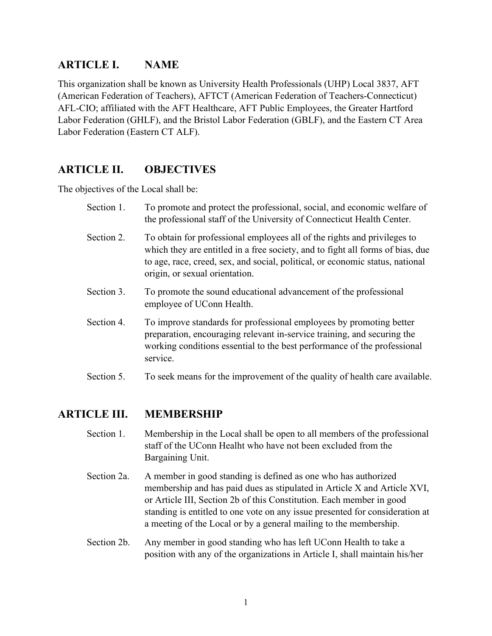#### **ARTICLE I. NAME**

This organization shall be known as University Health Professionals (UHP) Local 3837, AFT (American Federation of Teachers), AFTCT (American Federation of Teachers-Connecticut) AFL-CIO; affiliated with the AFT Healthcare, AFT Public Employees, the Greater Hartford Labor Federation (GHLF), and the Bristol Labor Federation (GBLF), and the Eastern CT Area Labor Federation (Eastern CT ALF).

#### **ARTICLE II. OBJECTIVES**

The objectives of the Local shall be:

| Section 1. | To promote and protect the professional, social, and economic welfare of<br>the professional staff of the University of Connecticut Health Center.                                                                                                                            |
|------------|-------------------------------------------------------------------------------------------------------------------------------------------------------------------------------------------------------------------------------------------------------------------------------|
| Section 2. | To obtain for professional employees all of the rights and privileges to<br>which they are entitled in a free society, and to fight all forms of bias, due<br>to age, race, creed, sex, and social, political, or economic status, national<br>origin, or sexual orientation. |
| Section 3. | To promote the sound educational advancement of the professional<br>employee of UConn Health.                                                                                                                                                                                 |
| Section 4. | To improve standards for professional employees by promoting better<br>preparation, encouraging relevant in-service training, and securing the<br>working conditions essential to the best performance of the professional<br>service.                                        |
| Section 5. | To seek means for the improvement of the quality of health care available.                                                                                                                                                                                                    |

#### **ARTICLE III. MEMBERSHIP**

- Section 1. Membership in the Local shall be open to all members of the professional staff of the UConn Healht who have not been excluded from the Bargaining Unit.
- Section 2a. A member in good standing is defined as one who has authorized membership and has paid dues as stipulated in Article X and Article XVI, or Article III, Section 2b of this Constitution. Each member in good standing is entitled to one vote on any issue presented for consideration at a meeting of the Local or by a general mailing to the membership.
- Section 2b. Any member in good standing who has left UConn Health to take a position with any of the organizations in Article I, shall maintain his/her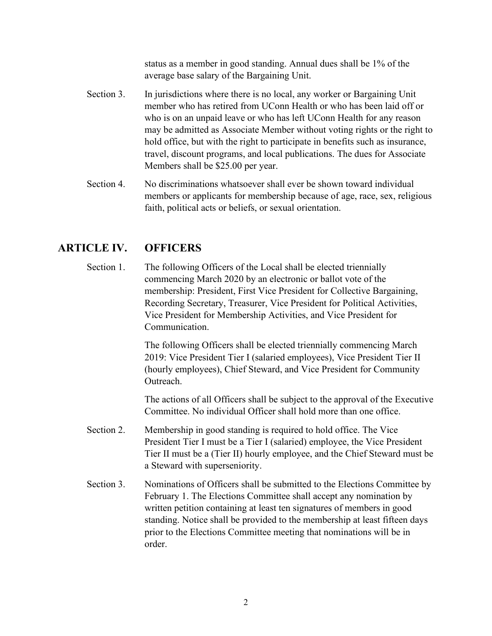status as a member in good standing. Annual dues shall be 1% of the average base salary of the Bargaining Unit.

- Section 3. In jurisdictions where there is no local, any worker or Bargaining Unit member who has retired from UConn Health or who has been laid off or who is on an unpaid leave or who has left UConn Health for any reason may be admitted as Associate Member without voting rights or the right to hold office, but with the right to participate in benefits such as insurance, travel, discount programs, and local publications. The dues for Associate Members shall be \$25.00 per year.
- Section 4. No discriminations whatsoever shall ever be shown toward individual members or applicants for membership because of age, race, sex, religious faith, political acts or beliefs, or sexual orientation.

#### **ARTICLE IV. OFFICERS**

Section 1. The following Officers of the Local shall be elected triennially commencing March 2020 by an electronic or ballot vote of the membership: President, First Vice President for Collective Bargaining, Recording Secretary, Treasurer, Vice President for Political Activities, Vice President for Membership Activities, and Vice President for Communication.

> The following Officers shall be elected triennially commencing March 2019: Vice President Tier I (salaried employees), Vice President Tier II (hourly employees), Chief Steward, and Vice President for Community Outreach.

The actions of all Officers shall be subject to the approval of the Executive Committee. No individual Officer shall hold more than one office.

- Section 2. Membership in good standing is required to hold office. The Vice President Tier I must be a Tier I (salaried) employee, the Vice President Tier II must be a (Tier II) hourly employee, and the Chief Steward must be a Steward with superseniority.
- Section 3. Nominations of Officers shall be submitted to the Elections Committee by February 1. The Elections Committee shall accept any nomination by written petition containing at least ten signatures of members in good standing. Notice shall be provided to the membership at least fifteen days prior to the Elections Committee meeting that nominations will be in order.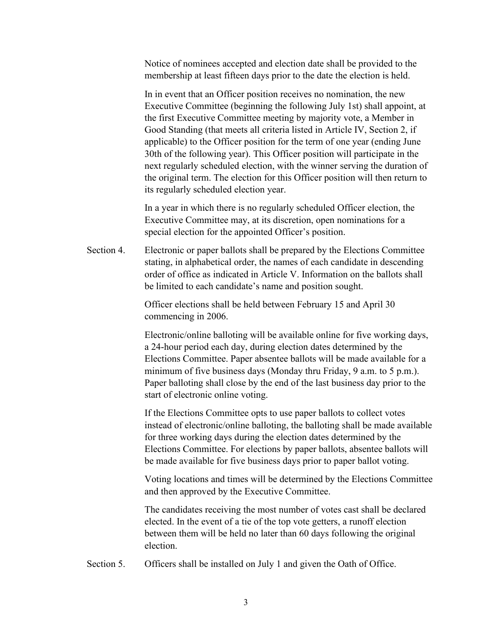Notice of nominees accepted and election date shall be provided to the membership at least fifteen days prior to the date the election is held.

In in event that an Officer position receives no nomination, the new Executive Committee (beginning the following July 1st) shall appoint, at the first Executive Committee meeting by majority vote, a Member in Good Standing (that meets all criteria listed in Article IV, Section 2, if applicable) to the Officer position for the term of one year (ending June 30th of the following year). This Officer position will participate in the next regularly scheduled election, with the winner serving the duration of the original term. The election for this Officer position will then return to its regularly scheduled election year.

In a year in which there is no regularly scheduled Officer election, the Executive Committee may, at its discretion, open nominations for a special election for the appointed Officer's position.

Section 4. Electronic or paper ballots shall be prepared by the Elections Committee stating, in alphabetical order, the names of each candidate in descending order of office as indicated in Article V. Information on the ballots shall be limited to each candidate's name and position sought.

> Officer elections shall be held between February 15 and April 30 commencing in 2006.

Electronic/online balloting will be available online for five working days, a 24-hour period each day, during election dates determined by the Elections Committee. Paper absentee ballots will be made available for a minimum of five business days (Monday thru Friday, 9 a.m. to 5 p.m.). Paper balloting shall close by the end of the last business day prior to the start of electronic online voting.

If the Elections Committee opts to use paper ballots to collect votes instead of electronic/online balloting, the balloting shall be made available for three working days during the election dates determined by the Elections Committee. For elections by paper ballots, absentee ballots will be made available for five business days prior to paper ballot voting.

Voting locations and times will be determined by the Elections Committee and then approved by the Executive Committee.

The candidates receiving the most number of votes cast shall be declared elected. In the event of a tie of the top vote getters, a runoff election between them will be held no later than 60 days following the original election.

Section 5. Officers shall be installed on July 1 and given the Oath of Office.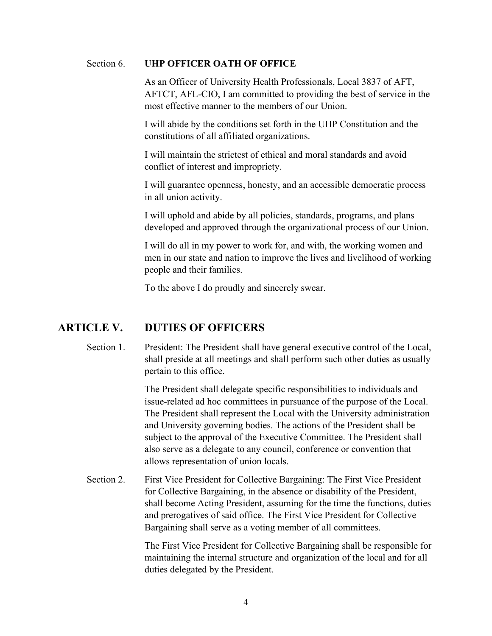#### Section 6. **UHP OFFICER OATH OF OFFICE**

As an Officer of University Health Professionals, Local 3837 of AFT, AFTCT, AFL-CIO, I am committed to providing the best of service in the most effective manner to the members of our Union.

I will abide by the conditions set forth in the UHP Constitution and the constitutions of all affiliated organizations.

I will maintain the strictest of ethical and moral standards and avoid conflict of interest and impropriety.

I will guarantee openness, honesty, and an accessible democratic process in all union activity.

I will uphold and abide by all policies, standards, programs, and plans developed and approved through the organizational process of our Union.

I will do all in my power to work for, and with, the working women and men in our state and nation to improve the lives and livelihood of working people and their families.

To the above I do proudly and sincerely swear.

#### **ARTICLE V. DUTIES OF OFFICERS**

Section 1. President: The President shall have general executive control of the Local, shall preside at all meetings and shall perform such other duties as usually pertain to this office.

> The President shall delegate specific responsibilities to individuals and issue-related ad hoc committees in pursuance of the purpose of the Local. The President shall represent the Local with the University administration and University governing bodies. The actions of the President shall be subject to the approval of the Executive Committee. The President shall also serve as a delegate to any council, conference or convention that allows representation of union locals.

Section 2. First Vice President for Collective Bargaining: The First Vice President for Collective Bargaining, in the absence or disability of the President, shall become Acting President, assuming for the time the functions, duties and prerogatives of said office. The First Vice President for Collective Bargaining shall serve as a voting member of all committees.

> The First Vice President for Collective Bargaining shall be responsible for maintaining the internal structure and organization of the local and for all duties delegated by the President.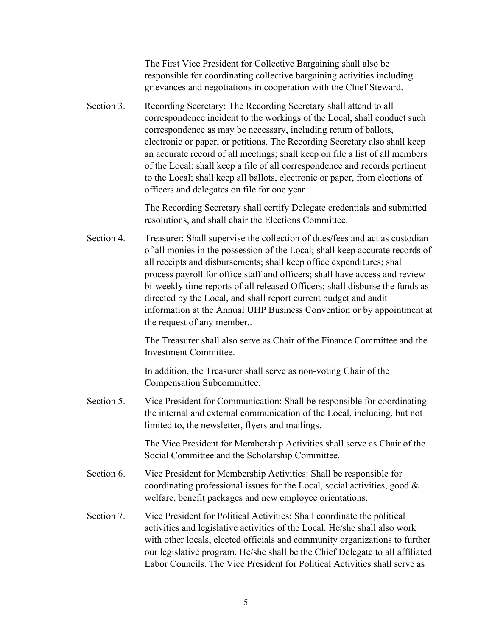The First Vice President for Collective Bargaining shall also be responsible for coordinating collective bargaining activities including grievances and negotiations in cooperation with the Chief Steward.

Section 3. Recording Secretary: The Recording Secretary shall attend to all correspondence incident to the workings of the Local, shall conduct such correspondence as may be necessary, including return of ballots, electronic or paper, or petitions. The Recording Secretary also shall keep an accurate record of all meetings; shall keep on file a list of all members of the Local; shall keep a file of all correspondence and records pertinent to the Local; shall keep all ballots, electronic or paper, from elections of officers and delegates on file for one year.

> The Recording Secretary shall certify Delegate credentials and submitted resolutions, and shall chair the Elections Committee.

Section 4. Treasurer: Shall supervise the collection of dues/fees and act as custodian of all monies in the possession of the Local; shall keep accurate records of all receipts and disbursements; shall keep office expenditures; shall process payroll for office staff and officers; shall have access and review bi-weekly time reports of all released Officers; shall disburse the funds as directed by the Local, and shall report current budget and audit information at the Annual UHP Business Convention or by appointment at the request of any member..

> The Treasurer shall also serve as Chair of the Finance Committee and the Investment Committee.

In addition, the Treasurer shall serve as non-voting Chair of the Compensation Subcommittee.

Section 5. Vice President for Communication: Shall be responsible for coordinating the internal and external communication of the Local, including, but not limited to, the newsletter, flyers and mailings.

> The Vice President for Membership Activities shall serve as Chair of the Social Committee and the Scholarship Committee.

- Section 6. Vice President for Membership Activities: Shall be responsible for coordinating professional issues for the Local, social activities, good & welfare, benefit packages and new employee orientations.
- Section 7. Vice President for Political Activities: Shall coordinate the political activities and legislative activities of the Local. He/she shall also work with other locals, elected officials and community organizations to further our legislative program. He/she shall be the Chief Delegate to all affiliated Labor Councils. The Vice President for Political Activities shall serve as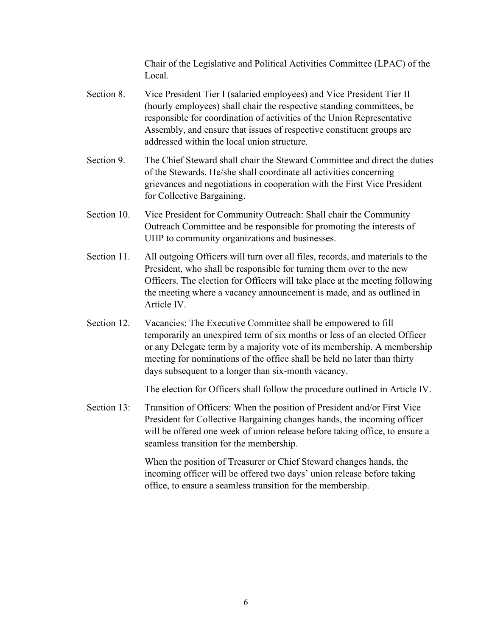Chair of the Legislative and Political Activities Committee (LPAC) of the Local.

- Section 8. Vice President Tier I (salaried employees) and Vice President Tier II (hourly employees) shall chair the respective standing committees, be responsible for coordination of activities of the Union Representative Assembly, and ensure that issues of respective constituent groups are addressed within the local union structure.
- Section 9. The Chief Steward shall chair the Steward Committee and direct the duties of the Stewards. He/she shall coordinate all activities concerning grievances and negotiations in cooperation with the First Vice President for Collective Bargaining.
- Section 10. Vice President for Community Outreach: Shall chair the Community Outreach Committee and be responsible for promoting the interests of UHP to community organizations and businesses.
- Section 11. All outgoing Officers will turn over all files, records, and materials to the President, who shall be responsible for turning them over to the new Officers. The election for Officers will take place at the meeting following the meeting where a vacancy announcement is made, and as outlined in Article IV.
- Section 12. Vacancies: The Executive Committee shall be empowered to fill temporarily an unexpired term of six months or less of an elected Officer or any Delegate term by a majority vote of its membership. A membership meeting for nominations of the office shall be held no later than thirty days subsequent to a longer than six-month vacancy.

The election for Officers shall follow the procedure outlined in Article IV.

Section 13: Transition of Officers: When the position of President and/or First Vice President for Collective Bargaining changes hands, the incoming officer will be offered one week of union release before taking office, to ensure a seamless transition for the membership.

> When the position of Treasurer or Chief Steward changes hands, the incoming officer will be offered two days' union release before taking office, to ensure a seamless transition for the membership.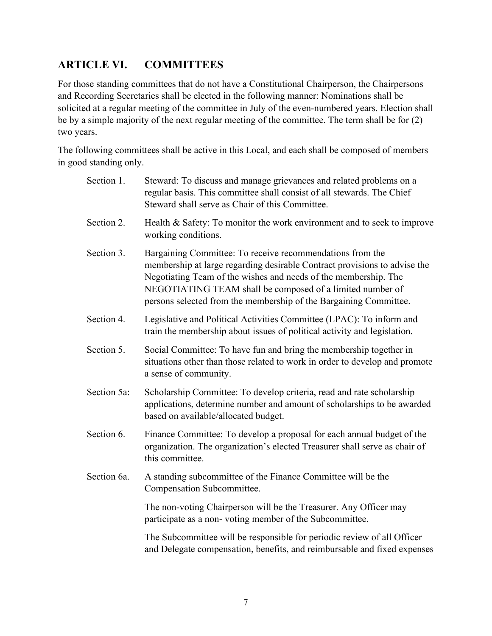#### **ARTICLE VI. COMMITTEES**

For those standing committees that do not have a Constitutional Chairperson, the Chairpersons and Recording Secretaries shall be elected in the following manner: Nominations shall be solicited at a regular meeting of the committee in July of the even-numbered years. Election shall be by a simple majority of the next regular meeting of the committee. The term shall be for (2) two years.

The following committees shall be active in this Local, and each shall be composed of members in good standing only.

| Section 1.  | Steward: To discuss and manage grievances and related problems on a<br>regular basis. This committee shall consist of all stewards. The Chief<br>Steward shall serve as Chair of this Committee.                                                                                                                                            |
|-------------|---------------------------------------------------------------------------------------------------------------------------------------------------------------------------------------------------------------------------------------------------------------------------------------------------------------------------------------------|
| Section 2.  | Health & Safety: To monitor the work environment and to seek to improve<br>working conditions.                                                                                                                                                                                                                                              |
| Section 3.  | Bargaining Committee: To receive recommendations from the<br>membership at large regarding desirable Contract provisions to advise the<br>Negotiating Team of the wishes and needs of the membership. The<br>NEGOTIATING TEAM shall be composed of a limited number of<br>persons selected from the membership of the Bargaining Committee. |
| Section 4.  | Legislative and Political Activities Committee (LPAC): To inform and<br>train the membership about issues of political activity and legislation.                                                                                                                                                                                            |
| Section 5.  | Social Committee: To have fun and bring the membership together in<br>situations other than those related to work in order to develop and promote<br>a sense of community.                                                                                                                                                                  |
| Section 5a: | Scholarship Committee: To develop criteria, read and rate scholarship<br>applications, determine number and amount of scholarships to be awarded<br>based on available/allocated budget.                                                                                                                                                    |
| Section 6.  | Finance Committee: To develop a proposal for each annual budget of the<br>organization. The organization's elected Treasurer shall serve as chair of<br>this committee.                                                                                                                                                                     |
| Section 6a. | A standing subcommittee of the Finance Committee will be the<br>Compensation Subcommittee.                                                                                                                                                                                                                                                  |
|             | The non-voting Chairperson will be the Treasurer. Any Officer may<br>participate as a non-voting member of the Subcommittee.                                                                                                                                                                                                                |
|             | The Subcommittee will be responsible for periodic review of all Officer<br>and Delegate compensation, benefits, and reimbursable and fixed expenses                                                                                                                                                                                         |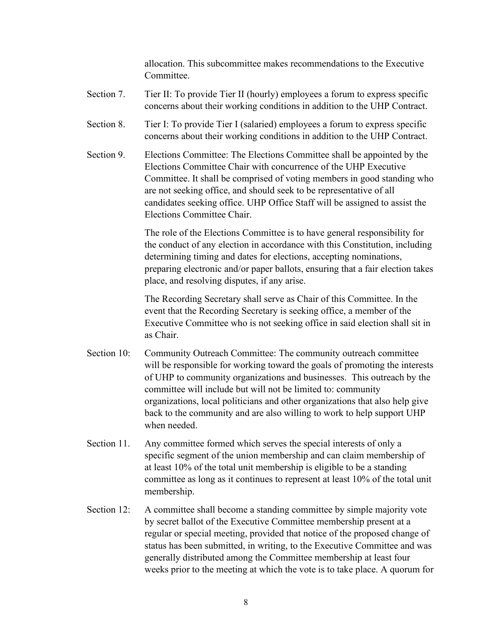allocation. This subcommittee makes recommendations to the Executive Committee.

- Section 7. Tier II: To provide Tier II (hourly) employees a forum to express specific concerns about their working conditions in addition to the UHP Contract.
- Section 8. Tier I: To provide Tier I (salaried) employees a forum to express specific concerns about their working conditions in addition to the UHP Contract.
- Section 9. Elections Committee: The Elections Committee shall be appointed by the Elections Committee Chair with concurrence of the UHP Executive Committee. It shall be comprised of voting members in good standing who are not seeking office, and should seek to be representative of all candidates seeking office. UHP Office Staff will be assigned to assist the Elections Committee Chair.

The role of the Elections Committee is to have general responsibility for the conduct of any election in accordance with this Constitution, including determining timing and dates for elections, accepting nominations, preparing electronic and/or paper ballots, ensuring that a fair election takes place, and resolving disputes, if any arise.

The Recording Secretary shall serve as Chair of this Committee. In the event that the Recording Secretary is seeking office, a member of the Executive Committee who is not seeking office in said election shall sit in as Chair.

- Section 10: Community Outreach Committee: The community outreach committee will be responsible for working toward the goals of promoting the interests of UHP to community organizations and businesses. This outreach by the committee will include but will not be limited to: community organizations, local politicians and other organizations that also help give back to the community and are also willing to work to help support UHP when needed.
- Section 11. Any committee formed which serves the special interests of only a specific segment of the union membership and can claim membership of at least 10% of the total unit membership is eligible to be a standing committee as long as it continues to represent at least 10% of the total unit membership.
- Section 12: A committee shall become a standing committee by simple majority vote by secret ballot of the Executive Committee membership present at a regular or special meeting, provided that notice of the proposed change of status has been submitted, in writing, to the Executive Committee and was generally distributed among the Committee membership at least four weeks prior to the meeting at which the vote is to take place. A quorum for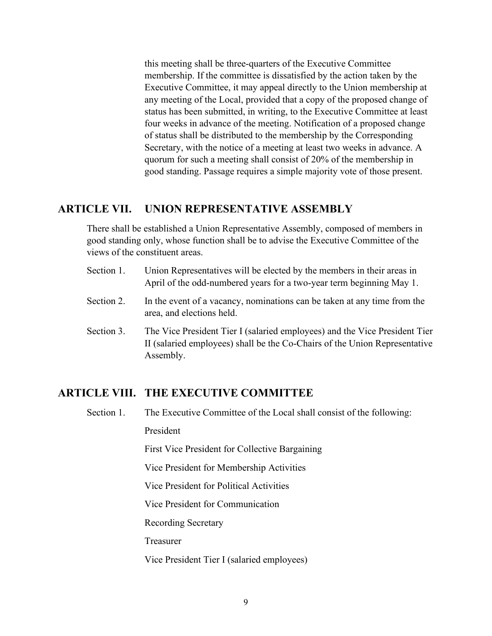this meeting shall be three-quarters of the Executive Committee membership. If the committee is dissatisfied by the action taken by the Executive Committee, it may appeal directly to the Union membership at any meeting of the Local, provided that a copy of the proposed change of status has been submitted, in writing, to the Executive Committee at least four weeks in advance of the meeting. Notification of a proposed change of status shall be distributed to the membership by the Corresponding Secretary, with the notice of a meeting at least two weeks in advance. A quorum for such a meeting shall consist of 20% of the membership in good standing. Passage requires a simple majority vote of those present.

#### **ARTICLE VII. UNION REPRESENTATIVE ASSEMBLY**

There shall be established a Union Representative Assembly, composed of members in good standing only, whose function shall be to advise the Executive Committee of the views of the constituent areas.

- Section 1. Union Representatives will be elected by the members in their areas in April of the odd-numbered years for a two-year term beginning May 1.
- Section 2. In the event of a vacancy, nominations can be taken at any time from the area, and elections held.
- Section 3. The Vice President Tier I (salaried employees) and the Vice President Tier II (salaried employees) shall be the Co-Chairs of the Union Representative Assembly.

#### **ARTICLE VIII. THE EXECUTIVE COMMITTEE**

Section 1. The Executive Committee of the Local shall consist of the following:

President

First Vice President for Collective Bargaining

Vice President for Membership Activities

Vice President for Political Activities

Vice President for Communication

Recording Secretary

Treasurer

Vice President Tier I (salaried employees)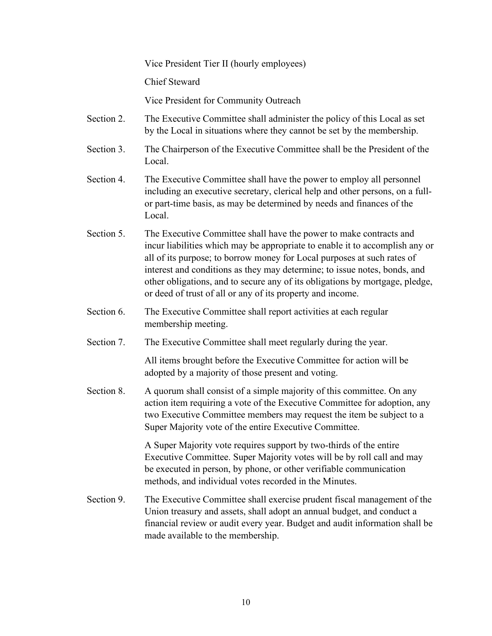Vice President Tier II (hourly employees)

Chief Steward

Vice President for Community Outreach

- Section 2. The Executive Committee shall administer the policy of this Local as set by the Local in situations where they cannot be set by the membership.
- Section 3. The Chairperson of the Executive Committee shall be the President of the Local.
- Section 4. The Executive Committee shall have the power to employ all personnel including an executive secretary, clerical help and other persons, on a fullor part-time basis, as may be determined by needs and finances of the Local.
- Section 5. The Executive Committee shall have the power to make contracts and incur liabilities which may be appropriate to enable it to accomplish any or all of its purpose; to borrow money for Local purposes at such rates of interest and conditions as they may determine; to issue notes, bonds, and other obligations, and to secure any of its obligations by mortgage, pledge, or deed of trust of all or any of its property and income.
- Section 6. The Executive Committee shall report activities at each regular membership meeting.
- Section 7. The Executive Committee shall meet regularly during the year.

All items brought before the Executive Committee for action will be adopted by a majority of those present and voting.

Section 8. A quorum shall consist of a simple majority of this committee. On any action item requiring a vote of the Executive Committee for adoption, any two Executive Committee members may request the item be subject to a Super Majority vote of the entire Executive Committee.

> A Super Majority vote requires support by two-thirds of the entire Executive Committee. Super Majority votes will be by roll call and may be executed in person, by phone, or other verifiable communication methods, and individual votes recorded in the Minutes.

Section 9. The Executive Committee shall exercise prudent fiscal management of the Union treasury and assets, shall adopt an annual budget, and conduct a financial review or audit every year. Budget and audit information shall be made available to the membership.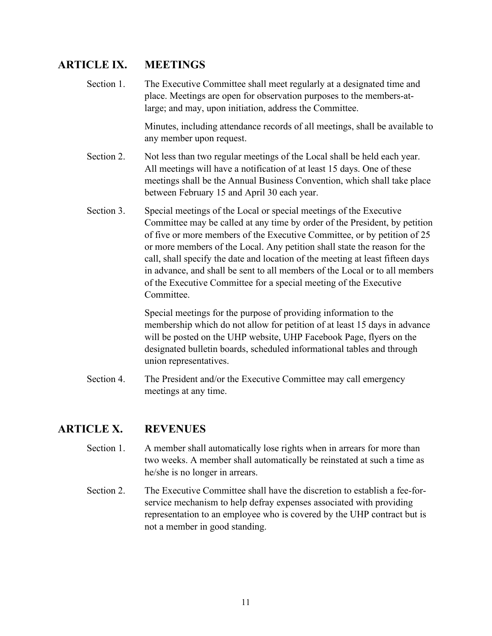#### **ARTICLE IX. MEETINGS**

Section 1. The Executive Committee shall meet regularly at a designated time and place. Meetings are open for observation purposes to the members-atlarge; and may, upon initiation, address the Committee.

> Minutes, including attendance records of all meetings, shall be available to any member upon request.

- Section 2. Not less than two regular meetings of the Local shall be held each year. All meetings will have a notification of at least 15 days. One of these meetings shall be the Annual Business Convention, which shall take place between February 15 and April 30 each year.
- Section 3. Special meetings of the Local or special meetings of the Executive Committee may be called at any time by order of the President, by petition of five or more members of the Executive Committee, or by petition of 25 or more members of the Local. Any petition shall state the reason for the call, shall specify the date and location of the meeting at least fifteen days in advance, and shall be sent to all members of the Local or to all members of the Executive Committee for a special meeting of the Executive Committee.

Special meetings for the purpose of providing information to the membership which do not allow for petition of at least 15 days in advance will be posted on the UHP website, UHP Facebook Page, flyers on the designated bulletin boards, scheduled informational tables and through union representatives.

Section 4. The President and/or the Executive Committee may call emergency meetings at any time.

#### **ARTICLE X. REVENUES**

- Section 1. A member shall automatically lose rights when in arrears for more than two weeks. A member shall automatically be reinstated at such a time as he/she is no longer in arrears.
- Section 2. The Executive Committee shall have the discretion to establish a fee-forservice mechanism to help defray expenses associated with providing representation to an employee who is covered by the UHP contract but is not a member in good standing.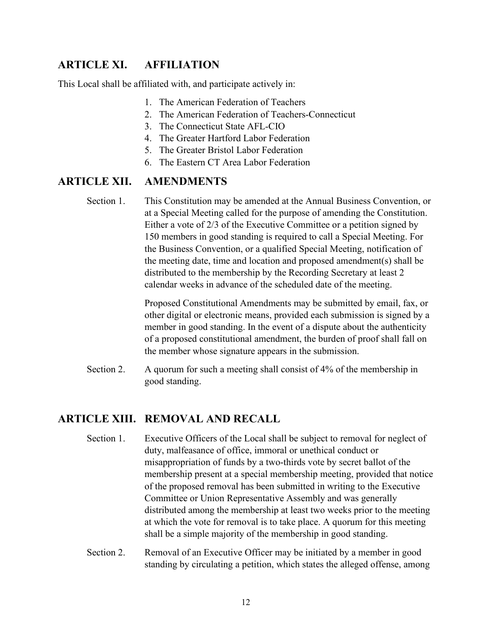#### **ARTICLE XI. AFFILIATION**

This Local shall be affiliated with, and participate actively in:

- 1. The American Federation of Teachers
- 2. The American Federation of Teachers-Connecticut
- 3. The Connecticut State AFL-CIO
- 4. The Greater Hartford Labor Federation
- 5. The Greater Bristol Labor Federation
- 6. The Eastern CT Area Labor Federation

#### **ARTICLE XII. AMENDMENTS**

Section 1. This Constitution may be amended at the Annual Business Convention, or at a Special Meeting called for the purpose of amending the Constitution. Either a vote of 2/3 of the Executive Committee or a petition signed by 150 members in good standing is required to call a Special Meeting. For the Business Convention, or a qualified Special Meeting, notification of the meeting date, time and location and proposed amendment(s) shall be distributed to the membership by the Recording Secretary at least 2 calendar weeks in advance of the scheduled date of the meeting.

> Proposed Constitutional Amendments may be submitted by email, fax, or other digital or electronic means, provided each submission is signed by a member in good standing. In the event of a dispute about the authenticity of a proposed constitutional amendment, the burden of proof shall fall on the member whose signature appears in the submission.

Section 2. A quorum for such a meeting shall consist of 4% of the membership in good standing.

#### **ARTICLE XIII. REMOVAL AND RECALL**

- Section 1. Executive Officers of the Local shall be subject to removal for neglect of duty, malfeasance of office, immoral or unethical conduct or misappropriation of funds by a two-thirds vote by secret ballot of the membership present at a special membership meeting, provided that notice of the proposed removal has been submitted in writing to the Executive Committee or Union Representative Assembly and was generally distributed among the membership at least two weeks prior to the meeting at which the vote for removal is to take place. A quorum for this meeting shall be a simple majority of the membership in good standing.
- Section 2. Removal of an Executive Officer may be initiated by a member in good standing by circulating a petition, which states the alleged offense, among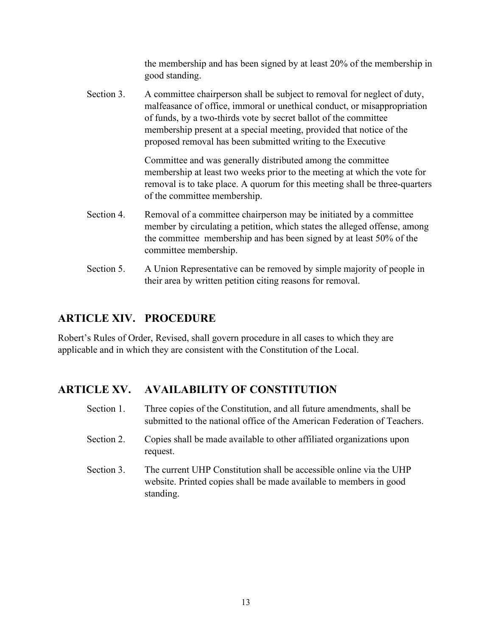the membership and has been signed by at least 20% of the membership in good standing.

Section 3. A committee chairperson shall be subject to removal for neglect of duty, malfeasance of office, immoral or unethical conduct, or misappropriation of funds, by a two-thirds vote by secret ballot of the committee membership present at a special meeting, provided that notice of the proposed removal has been submitted writing to the Executive

> Committee and was generally distributed among the committee membership at least two weeks prior to the meeting at which the vote for removal is to take place. A quorum for this meeting shall be three-quarters of the committee membership.

- Section 4. Removal of a committee chairperson may be initiated by a committee member by circulating a petition, which states the alleged offense, among the committee membership and has been signed by at least 50% of the committee membership.
- Section 5. A Union Representative can be removed by simple majority of people in their area by written petition citing reasons for removal.

#### **ARTICLE XIV. PROCEDURE**

Robert's Rules of Order, Revised, shall govern procedure in all cases to which they are applicable and in which they are consistent with the Constitution of the Local.

#### **ARTICLE XV. AVAILABILITY OF CONSTITUTION**

- Section 1. Three copies of the Constitution, and all future amendments, shall be submitted to the national office of the American Federation of Teachers.
- Section 2. Copies shall be made available to other affiliated organizations upon request.
- Section 3. The current UHP Constitution shall be accessible online via the UHP website. Printed copies shall be made available to members in good standing.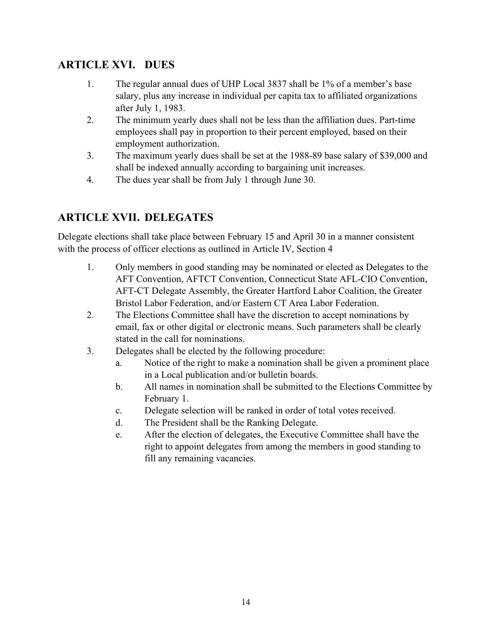#### **ARTICLE XVI. DUES**

- 1. The regular annual dues of UHP Local 3837 shall be 1% of a member's base salary, plus any increase in individual per capita tax to affiliated organizations after July 1, 1983.
- 2. The minimum yearly dues shall not be less than the affiliation dues. Part-time employees shall pay in proportion to their percent employed, based on their employment authorization.
- 3. The maximum yearly dues shall be set at the 1988-89 base salary of \$39,000 and shall be indexed annually according to bargaining unit increases.
- 4. The dues year shall be from July 1 through June 30.

#### **ARTICLE XVII. DELEGATES**

Delegate elections shall take place between February 15 and April 30 in a manner consistent with the process of officer elections as outlined in Article IV, Section 4

- 1. Only members in good standing may be nominated or elected as Delegates to the AFT Convention, AFTCT Convention, Connecticut State AFL-CIO Convention, AFT-CT Delegate Assembly, the Greater Hartford Labor Coalition, the Greater Bristol Labor Federation, and/or Eastern CT Area Labor Federation.
- 2. The Elections Committee shall have the discretion to accept nominations by email, fax or other digital or electronic means. Such parameters shall be clearly stated in the call for nominations.
- 3. Delegates shall be elected by the following procedure:
	- a. Notice of the right to make a nomination shall be given a prominent place in a Local publication and/or bulletin boards.
	- b. All names in nomination shall be submitted to the Elections Committee by February 1.
	- c. Delegate selection will be ranked in order of total votes received.
	- d. The President shall be the Ranking Delegate.
	- e. After the election of delegates, the Executive Committee shall have the right to appoint delegates from among the members in good standing to fill any remaining vacancies.